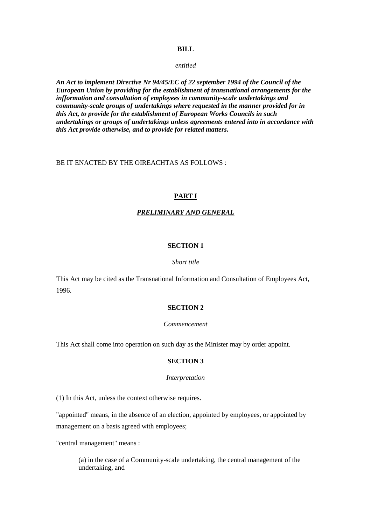#### **BILL**

*entitled* 

*An Act to implement Directive Nr 94/45/EC of 22 september 1994 of the Council of the European Union by providing for the establishment of transnational arrangements for the infformation and consultation of employees in community-scale undertakings and community-scale groups of undertakings where requested in the manner provided for in this Act, to provide for the establishment of European Works Councils in such undertakings or groups of undertakings unless agreements entered into in accordance with this Act provide otherwise, and to provide for related matters.* 

### BE IT ENACTED BY THE OIREACHTAS AS FOLLOWS :

### **PART I**

#### *PRELIMINARY AND GENERAL*

#### **SECTION 1**

#### *Short title*

This Act may be cited as the Transnational Information and Consultation of Employees Act, 1996.

### **SECTION 2**

#### *Commencement*

This Act shall come into operation on such day as the Minister may by order appoint.

## **SECTION 3**

#### *Interpretation*

(1) In this Act, unless the context otherwise requires.

"appointed" means, in the absence of an election, appointed by employees, or appointed by management on a basis agreed with employees;

"central management" means :

(a) in the case of a Community-scale undertaking, the central management of the undertaking, and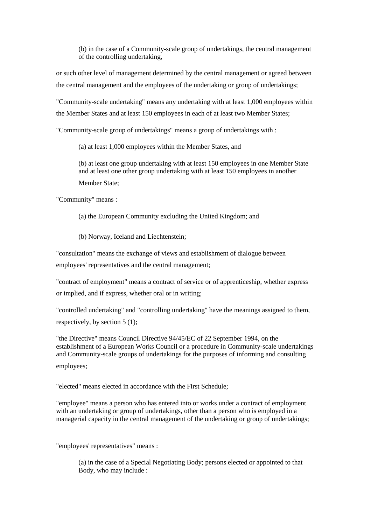(b) in the case of a Community-scale group of undertakings, the central management of the controlling undertaking,

or such other level of management determined by the central management or agreed between the central management and the employees of the undertaking or group of undertakings;

"Community-scale undertaking" means any undertaking with at least 1,000 employees within the Member States and at least 150 employees in each of at least two Member States;

"Community-scale group of undertakings" means a group of undertakings with :

(a) at least 1,000 employees within the Member States, and

(b) at least one group undertaking with at least 150 employees in one Member State and at least one other group undertaking with at least 150 employees in another Member State;

"Community" means :

(a) the European Community excluding the United Kingdom; and

(b) Norway, Iceland and Liechtenstein;

"consultation" means the exchange of views and establishment of dialogue between employees' representatives and the central management;

"contract of employment" means a contract of service or of apprenticeship, whether express or implied, and if express, whether oral or in writing;

"controlled undertaking" and "controlling undertaking" have the meanings assigned to them, respectively, by section 5 (1);

"the Directive" means Council Directive 94/45/EC of 22 September 1994, on the establishment of a European Works Council or a procedure in Community-scale undertakings and Community-scale groups of undertakings for the purposes of informing and consulting employees;

"elected" means elected in accordance with the First Schedule;

"employee" means a person who has entered into or works under a contract of employment with an undertaking or group of undertakings, other than a person who is employed in a managerial capacity in the central management of the undertaking or group of undertakings;

"employees' representatives" means :

(a) in the case of a Special Negotiating Body; persons elected or appointed to that Body, who may include :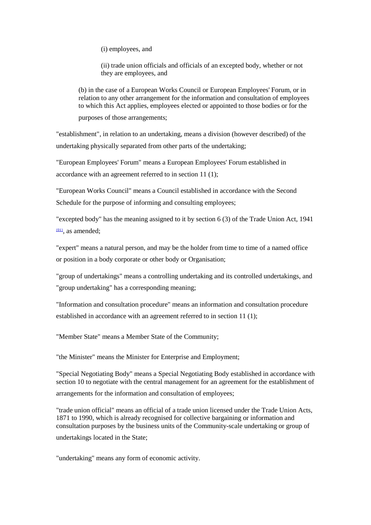(i) employees, and

(ii) trade union officials and officials of an excepted body, whether or not they are employees, and

(b) in the case of a European Works Council or European Employees' Forum, or in relation to any other arrangement for the information and consultation of employees to which this Act applies, employees elected or appointed to those bodies or for the

purposes of those arrangements;

"establishment", in relation to an undertaking, means a division (however described) of the undertaking physically separated from other parts of the undertaking;

"European Employees' Forum" means a European Employees' Forum established in accordance with an agreement referred to in section 11 (1);

"European Works Council" means a Council established in accordance with the Second Schedule for the purpose of informing and consulting employees;

"excepted body" has the meaning assigned to it by section 6 (3) of the Trade Union Act, 1941  $(01)$ , as amended;

"expert" means a natural person, and may be the holder from time to time of a named office or position in a body corporate or other body or Organisation;

"group of undertakings" means a controlling undertaking and its controlled undertakings, and "group undertaking" has a corresponding meaning;

"Information and consultation procedure" means an information and consultation procedure established in accordance with an agreement referred to in section 11 (1);

"Member State" means a Member State of the Community;

"the Minister" means the Minister for Enterprise and Employment;

"Special Negotiating Body" means a Special Negotiating Body established in accordance with section 10 to negotiate with the central management for an agreement for the establishment of

arrangements for the information and consultation of employees;

"trade union official" means an official of a trade union licensed under the Trade Union Acts, 1871 to 1990, which is already recognised for collective bargaining or information and consultation purposes by the business units of the Community-scale undertaking or group of

undertakings located in the State;

"undertaking" means any form of economic activity.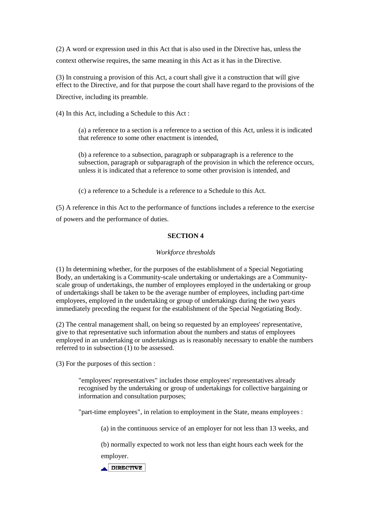(2) A word or expression used in this Act that is also used in the Directive has, unless the context otherwise requires, the same meaning in this Act as it has in the Directive.

(3) In construing a provision of this Act, a court shall give it a construction that will give effect to the Directive, and for that purpose the court shall have regard to the provisions of the Directive, including its preamble.

(4) In this Act, including a Schedule to this Act :

(a) a reference to a section is a reference to a section of this Act, unless it is indicated that reference to some other enactment is intended,

(b) a reference to a subsection, paragraph or subparagraph is a reference to the subsection, paragraph or subparagraph of the provision in which the reference occurs, unless it is indicated that a reference to some other provision is intended, and

(c) a reference to a Schedule is a reference to a Schedule to this Act.

(5) A reference in this Act to the performance of functions includes a reference to the exercise of powers and the performance of duties.

## **SECTION 4**

### *Workforce thresholds*

(1) In determining whether, for the purposes of the establishment of a Special Negotiating Body, an undertaking is a Community-scale undertaking or undertakings are a Communityscale group of undertakings, the number of employees employed in the undertaking or group of undertakings shall be taken to be the average number of employees, including part-time employees, employed in the undertaking or group of undertakings during the two years immediately preceding the request for the establishment of the Special Negotiating Body.

(2) The central management shall, on being so requested by an employees' representative, give to that representative such information about the numbers and status of employees employed in an undertaking or undertakings as is reasonably necessary to enable the numbers referred to in subsection (1) to be assessed.

(3) For the purposes of this section :

"employees' representatives" includes those employees' representatives already recognised by the undertaking or group of undertakings for collective bargaining or information and consultation purposes;

"part-time employees", in relation to employment in the State, means employees :

(a) in the continuous service of an employer for not less than 13 weeks, and

(b) normally expected to work not less than eight hours each week for the employer.

DIRECTIVE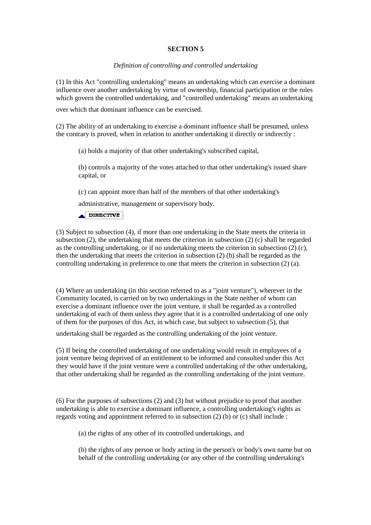## **SECTION 5**

### *Definition of controlling and controlled undertaking*

(1) In this Act "controlling undertaking" means an undertaking which can exercise a dominant influence over another undertaking by virtue of ownership, financial participation or the rules which govern the controlled undertaking, and "controlled undertaking" means an undertaking

over which that dominant influence can be exercised.

(2) The ability of an undertaking to exercise a dominant influence shall be presumed, unless the contrary is proved, when in relation to another undertaking it directly or indirectly :

(a) holds a majority of that other undertaking's subscribed capital,

(b) controls a majority of the votes attached to that other undertaking's issued share capital, or

(c) can appoint more than half of the members of that other undertaking's

administrative, management or supervisory body.

DIRECTIVE

(3) Subject to subsection (4), if more than one undertaking in the State meets the criteria in subsection (2), the undertaking that meets the criterion in subsection (2) (c) shall be regarded as the controlling undertaking, or if no undertaking meets the criterion in subsection (2) (c), then the undertaking that meets the criterion in subsection (2) (b) shall be regarded as the controlling undertaking in preference to one that meets the criterion in subsection (2) (a).

(4) Where an undertaking (in this section referred to as a "joint venture"), wherever in the Community located, is carried on by two undertakings in the State neither of whom can exercise a dominant influence over the joint venture, it shall be regarded as a controlled undertaking of each of them unless they agree that it is a controlled undertaking of one only of them for the purposes of this Act, in which case, but subject to subsection (5), that

undertaking shall be regarded as the controlling undertaking of the joint venture.

(5) If being the controlled undertaking of one undertaking would result in employees of a joint venture being deprived of an entitlement to be informed and consulted under this Act they would have if the joint venture were a controlled undertaking of the other undertaking, that other undertaking shall be regarded as the controlling undertaking of the joint venture.

(6) For the purposes of subsections (2) and (3) but without prejudice to proof that another undertaking is able to exercise a dominant influence, a controlling undertaking's rights as regards voting and appointment referred to in subsection (2) (b) or (c) shall include :

(a) the rights of any other of its controlled undertakings, and

(b) the rights of any person or body acting in the person's or body's own name but on behalf of the controlling undertaking (or any other of the controlling undertaking's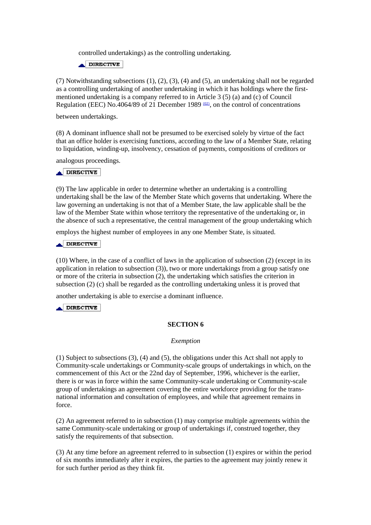controlled undertakings) as the controlling undertaking.

DIRECTIVE

(7) Notwithstanding subsections (1), (2), (3), (4) and (5), an undertaking shall not be regarded as a controlling undertaking of another undertaking in which it has holdings where the firstmentioned undertaking is a company referred to in Article 3 (5) (a) and (c) of Council Regulation (EEC) No.4064/89 of 21 December 1989  $(02)$ , on the control of concentrations

between undertakings.

(8) A dominant influence shall not be presumed to be exercised solely by virtue of the fact that an office holder is exercising functions, according to the law of a Member State, relating to liquidation, winding-up, insolvency, cessation of payments, compositions of creditors or

analogous proceedings.

### **ADIRECTIVE**

(9) The law applicable in order to determine whether an undertaking is a controlling undertaking shall be the law of the Member State which governs that undertaking. Where the law governing an undertaking is not that of a Member State, the law applicable shall be the law of the Member State within whose territory the representative of the undertaking or, in the absence of such a representative, the central management of the group undertaking which

employs the highest number of employees in any one Member State, is situated.

### $\triangle$ DIRECTIVE

(10) Where, in the case of a conflict of laws in the application of subsection (2) (except in its application in relation to subsection (3)), two or more undertakings from a group satisfy one or more of the criteria in subsection (2), the undertaking which satisfies the criterion in subsection (2) (c) shall be regarded as the controlling undertaking unless it is proved that

another undertaking is able to exercise a dominant influence.

 $\triangle$  DIRECTIVE

### **SECTION 6**

#### *Exemption*

(1) Subject to subsections (3), (4) and (5), the obligations under this Act shall not apply to Community-scale undertakings or Community-scale groups of undertakings in which, on the commencement of this Act or the 22nd day of September, 1996, whichever is the earlier, there is or was in force within the same Community-scale undertaking or Community-scale group of undertakings an agreement covering the entire workforce providing for the transnational information and consultation of employees, and while that agreement remains in force.

(2) An agreement referred to in subsection (1) may comprise multiple agreements within the same Community-scale undertaking or group of undertakings if, construed together, they satisfy the requirements of that subsection.

(3) At any time before an agreement referred to in subsection (1) expires or within the period of six months immediately after it expires, the parties to the agreement may jointly renew it for such further period as they think fit.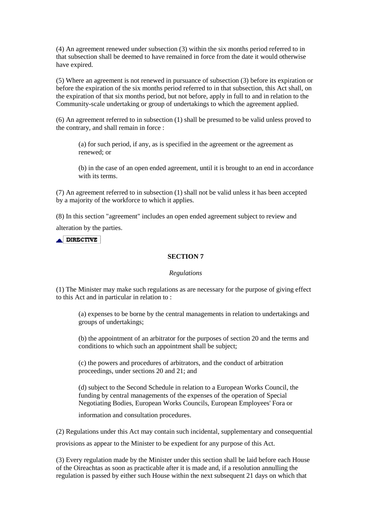(4) An agreement renewed under subsection (3) within the six months period referred to in that subsection shall be deemed to have remained in force from the date it would otherwise have expired.

(5) Where an agreement is not renewed in pursuance of subsection (3) before its expiration or before the expiration of the six months period referred to in that subsection, this Act shall, on the expiration of that six months period, but not before, apply in full to and in relation to the Community-scale undertaking or group of undertakings to which the agreement applied.

(6) An agreement referred to in subsection (1) shall be presumed to be valid unless proved to the contrary, and shall remain in force :

(a) for such period, if any, as is specified in the agreement or the agreement as renewed; or

(b) in the case of an open ended agreement, until it is brought to an end in accordance with its terms.

(7) An agreement referred to in subsection (1) shall not be valid unless it has been accepted by a majority of the workforce to which it applies.

(8) In this section "agreement" includes an open ended agreement subject to review and

alteration by the parties.

**ADIRECTIVE** 

### **SECTION 7**

#### *Regulations*

(1) The Minister may make such regulations as are necessary for the purpose of giving effect to this Act and in particular in relation to :

(a) expenses to be borne by the central managements in relation to undertakings and groups of undertakings;

(b) the appointment of an arbitrator for the purposes of section 20 and the terms and conditions to which such an appointment shall be subject;

(c) the powers and procedures of arbitrators, and the conduct of arbitration proceedings, under sections 20 and 21; and

(d) subject to the Second Schedule in relation to a European Works Council, the funding by central managements of the expenses of the operation of Special Negotiating Bodies, European Works Councils, European Employees' Fora or

information and consultation procedures.

(2) Regulations under this Act may contain such incidental, supplementary and consequential provisions as appear to the Minister to be expedient for any purpose of this Act.

(3) Every regulation made by the Minister under this section shall be laid before each House of the Oireachtas as soon as practicable after it is made and, if a resolution annulling the regulation is passed by either such House within the next subsequent 21 days on which that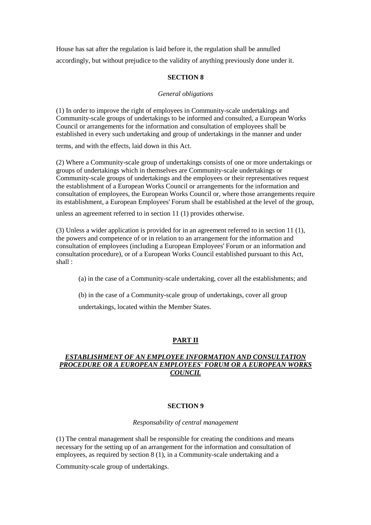House has sat after the regulation is laid before it, the regulation shall be annulled accordingly, but without prejudice to the validity of anything previously done under it.

### **SECTION 8**

## *General obligations*

(1) In order to improve the right of employees in Community-scale undertakings and Community-scale groups of undertakings to be informed and consulted, a European Works Council or arrangements for the information and consultation of employees shall be established in every such undertaking and group of undertakings in the manner and under

terms, and with the effects, laid down in this Act.

(2) Where a Community-scale group of undertakings consists of one or more undertakings or groups of undertakings which in themselves are Community-scale undertakings or Community-scale groups of undertakings and the employees or their representatives request the establishment of a European Works Council or arrangements for the information and consultation of employees, the European Works Council or, where those arrangements require its establishment, a European Employees' Forum shall be established at the level of the group,

unless an agreement referred to in section 11 (1) provides otherwise.

(3) Unless a wider application is provided for in an agreement referred to in section 11 (1), the powers and competence of or in relation to an arrangement for the information and consultation of employees (including a European Employees' Forum or an information and consultation procedure), or of a European Works Council established pursuant to this Act, shall :

(a) in the case of a Community-scale undertaking, cover all the establishments; and

(b) in the case of a Community-scale group of undertakings, cover all group

undertakings, located within the Member States.

# **PART II**

## *ESTABLISHMENT OF AN EMPLOYEE INFORMATION AND CONSULTATION PROCEDURE OR A EUROPEAN EMPLOYEES' FORUM OR A EUROPEAN WORKS COUNCIL*

### **SECTION 9**

### *Responsability of central management*

(1) The central management shall be responsible for creating the conditions and means necessary for the setting up of an arrangement for the information and consultation of employees, as required by section 8 (1), in a Community-scale undertaking and a

Community-scale group of undertakings.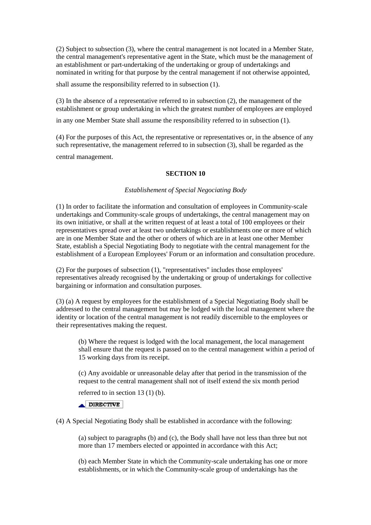(2) Subject to subsection (3), where the central management is not located in a Member State, the central management's representative agent in the State, which must be the management of an establishment or part-undertaking of the undertaking or group of undertakings and nominated in writing for that purpose by the central management if not otherwise appointed,

shall assume the responsibility referred to in subsection (1).

(3) In the absence of a representative referred to in subsection (2), the management of the establishment or group undertaking in which the greatest number of employees are employed in any one Member State shall assume the responsibility referred to in subsection (1).

(4) For the purposes of this Act, the representative or representatives or, in the absence of any such representative, the management referred to in subsection (3), shall be regarded as the

central management.

### **SECTION 10**

### *Establishement of Special Negociating Body*

(1) In order to facilitate the information and consultation of employees in Community-scale undertakings and Community-scale groups of undertakings, the central management may on its own initiative, or shall at the written request of at least a total of 100 employees or their representatives spread over at least two undertakings or establishments one or more of which are in one Member State and the other or others of which are in at least one other Member State, establish a Special Negotiating Body to negotiate with the central management for the establishment of a European Employees' Forum or an information and consultation procedure.

(2) For the purposes of subsection (1), "representatives" includes those employees' representatives already recognised by the undertaking or group of undertakings for collective bargaining or information and consultation purposes.

(3) (a) A request by employees for the establishment of a Special Negotiating Body shall be addressed to the central management but may be lodged with the local management where the identity or location of the central management is not readily discernible to the employees or their representatives making the request.

(b) Where the request is lodged with the local management, the local management shall ensure that the request is passed on to the central management within a period of 15 working days from its receipt.

(c) Any avoidable or unreasonable delay after that period in the transmission of the request to the central management shall not of itself extend the six month period

referred to in section 13 (1) (b).

 $\triangle$  DIRECTIVE

(4) A Special Negotiating Body shall be established in accordance with the following:

(a) subject to paragraphs (b) and (c), the Body shall have not less than three but not more than 17 members elected or appointed in accordance with this Act;

(b) each Member State in which the Community-scale undertaking has one or more establishments, or in which the Community-scale group of undertakings has the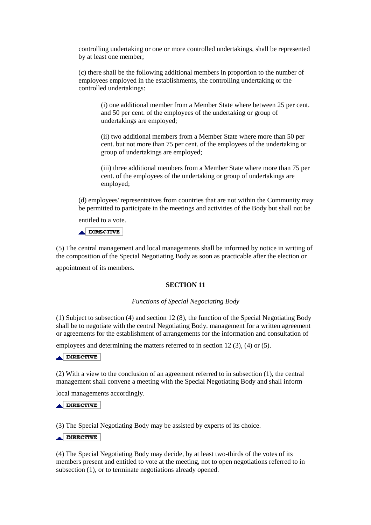controlling undertaking or one or more controlled undertakings, shall be represented by at least one member;

(c) there shall be the following additional members in proportion to the number of employees employed in the establishments, the controlling undertaking or the controlled undertakings:

(i) one additional member from a Member State where between 25 per cent. and 50 per cent. of the employees of the undertaking or group of undertakings are employed;

(ii) two additional members from a Member State where more than 50 per cent. but not more than 75 per cent. of the employees of the undertaking or group of undertakings are employed;

(iii) three additional members from a Member State where more than 75 per cent. of the employees of the undertaking or group of undertakings are employed;

(d) employees' representatives from countries that are not within the Community may be permitted to participate in the meetings and activities of the Body but shall not be

entitled to a vote.

 $\triangle$ DIRECTIVE

(5) The central management and local managements shall be informed by notice in writing of the composition of the Special Negotiating Body as soon as practicable after the election or

appointment of its members.

### **SECTION 11**

#### *Functions of Special Negociating Body*

(1) Subject to subsection (4) and section 12 (8), the function of the Special Negotiating Body shall be to negotiate with the central Negotiating Body. management for a written agreement or agreements for the establishment of arrangements for the information and consultation of

employees and determining the matters referred to in section 12 (3), (4) or (5).

#### **ADIRECTIVE**

(2) With a view to the conclusion of an agreement referred to in subsection (1), the central management shall convene a meeting with the Special Negotiating Body and shall inform

local managements accordingly.

#### $\triangle$  DIRECTIVE

(3) The Special Negotiating Body may be assisted by experts of its choice.

### $\triangle$  DIRECTIVE

(4) The Special Negotiating Body may decide, by at least two-thirds of the votes of its members present and entitled to vote at the meeting, not to open negotiations referred to in subsection (1), or to terminate negotiations already opened.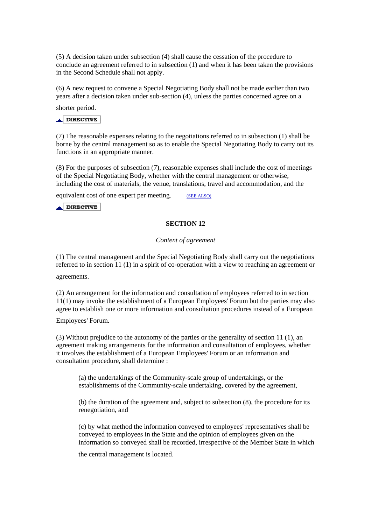(5) A decision taken under subsection (4) shall cause the cessation of the procedure to conclude an agreement referred to in subsection (1) and when it has been taken the provisions in the Second Schedule shall not apply.

(6) A new request to convene a Special Negotiating Body shall not be made earlier than two years after a decision taken under sub-section (4), unless the parties concerned agree on a

shorter period.

## $\triangle$ DIRECTIVE

(7) The reasonable expenses relating to the negotiations referred to in subsection (1) shall be borne by the central management so as to enable the Special Negotiating Body to carry out its functions in an appropriate manner.

(8) For the purposes of subsection (7), reasonable expenses shall include the cost of meetings of the Special Negotiating Body, whether with the central management or otherwise, including the cost of materials, the venue, translations, travel and accommodation, and the

equivalent cost of one expert per meeting. (SEE ALSO)

 $\triangle$  DIRECTIVE

## **SECTION 12**

#### *Content of agreement*

(1) The central management and the Special Negotiating Body shall carry out the negotiations referred to in section 11 (1) in a spirit of co-operation with a view to reaching an agreement or

agreements.

(2) An arrangement for the information and consultation of employees referred to in section 11(1) may invoke the establishment of a European Employees' Forum but the parties may also agree to establish one or more information and consultation procedures instead of a European

Employees' Forum.

(3) Without prejudice to the autonomy of the parties or the generality of section 11 (1), an agreement making arrangements for the information and consultation of employees, whether it involves the establishment of a European Employees' Forum or an information and consultation procedure, shall determine :

(a) the undertakings of the Community-scale group of undertakings, or the establishments of the Community-scale undertaking, covered by the agreement,

(b) the duration of the agreement and, subject to subsection (8), the procedure for its renegotiation, and

(c) by what method the information conveyed to employees' representatives shall be conveyed to employees in the State and the opinion of employees given on the information so conveyed shall be recorded, irrespective of the Member State in which

the central management is located.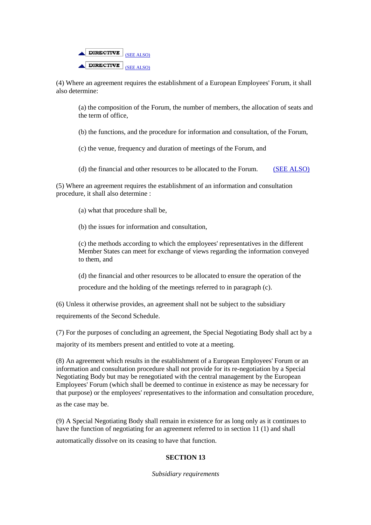

(4) Where an agreement requires the establishment of a European Employees' Forum, it shall also determine:

(a) the composition of the Forum, the number of members, the allocation of seats and the term of office,

(b) the functions, and the procedure for information and consultation, of the Forum,

(c) the venue, frequency and duration of meetings of the Forum, and

(d) the financial and other resources to be allocated to the Forum. (SEE ALSO)

(5) Where an agreement requires the establishment of an information and consultation procedure, it shall also determine :

- (a) what that procedure shall be,
- (b) the issues for information and consultation,

(c) the methods according to which the employees' representatives in the different Member States can meet for exchange of views regarding the information conveyed to them, and

(d) the financial and other resources to be allocated to ensure the operation of the procedure and the holding of the meetings referred to in paragraph (c).

(6) Unless it otherwise provides, an agreement shall not be subject to the subsidiary requirements of the Second Schedule.

(7) For the purposes of concluding an agreement, the Special Negotiating Body shall act by a majority of its members present and entitled to vote at a meeting.

(8) An agreement which results in the establishment of a European Employees' Forum or an information and consultation procedure shall not provide for its re-negotiation by a Special Negotiating Body but may be renegotiated with the central management by the European Employees' Forum (which shall be deemed to continue in existence as may be necessary for that purpose) or the employees' representatives to the information and consultation procedure,

as the case may be.

(9) A Special Negotiating Body shall remain in existence for as long only as it continues to have the function of negotiating for an agreement referred to in section 11 (1) and shall

automatically dissolve on its ceasing to have that function.

### **SECTION 13**

*Subsidiary requirements*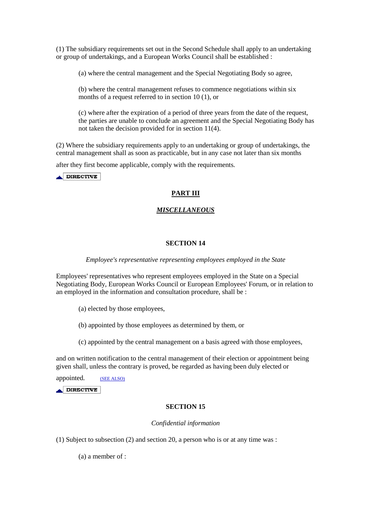(1) The subsidiary requirements set out in the Second Schedule shall apply to an undertaking or group of undertakings, and a European Works Council shall be established :

(a) where the central management and the Special Negotiating Body so agree,

(b) where the central management refuses to commence negotiations within six months of a request referred to in section 10 (1), or

(c) where after the expiration of a period of three years from the date of the request, the parties are unable to conclude an agreement and the Special Negotiating Body has not taken the decision provided for in section 11(4).

(2) Where the subsidiary requirements apply to an undertaking or group of undertakings, the central management shall as soon as practicable, but in any case not later than six months

after they first become applicable, comply with the requirements.

 $\triangle$  DIRECTIVE

## **PART III**

### *MISCELLANEOUS*

### **SECTION 14**

#### *Employee's representative representing employees employed in the State*

Employees' representatives who represent employees employed in the State on a Special Negotiating Body, European Works Council or European Employees' Forum, or in relation to an employed in the information and consultation procedure, shall be :

(a) elected by those employees,

- (b) appointed by those employees as determined by them, or
- (c) appointed by the central management on a basis agreed with those employees,

and on written notification to the central management of their election or appointment being given shall, unless the contrary is proved, be regarded as having been duly elected or

appointed. (SEE ALSO)

 $\triangle$ DIRECTIVE

#### **SECTION 15**

#### *Confidential information*

(1) Subject to subsection (2) and section 20, a person who is or at any time was :

(a) a member of :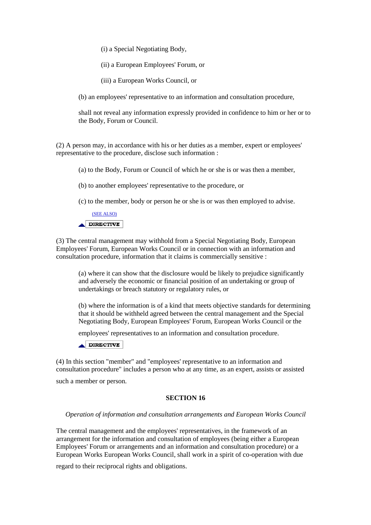(i) a Special Negotiating Body,

(ii) a European Employees' Forum, or

(iii) a European Works Council, or

(b) an employees' representative to an information and consultation procedure,

shall not reveal any information expressly provided in confidence to him or her or to the Body, Forum or Council.

(2) A person may, in accordance with his or her duties as a member, expert or employees' representative to the procedure, disclose such information :

(a) to the Body, Forum or Council of which he or she is or was then a member,

(b) to another employees' representative to the procedure, or

(c) to the member, body or person he or she is or was then employed to advise.

(SEE ALSO)  $\triangle$  DIRECTIVE

(3) The central management may withhold from a Special Negotiating Body, European Employees' Forum, European Works Council or in connection with an information and consultation procedure, information that it claims is commercially sensitive :

(a) where it can show that the disclosure would be likely to prejudice significantly and adversely the economic or financial position of an undertaking or group of undertakings or breach statutory or regulatory rules, or

(b) where the information is of a kind that meets objective standards for determining that it should be withheld agreed between the central management and the Special Negotiating Body, European Employees' Forum, European Works Council or the

employees' representatives to an information and consultation procedure.

DIRECTIVE

(4) In this section "member" and "employees' representative to an information and consultation procedure" includes a person who at any time, as an expert, assists or assisted such a member or person.

### **SECTION 16**

#### *Operation of information and consultation arrangements and European Works Council*

The central management and the employees' representatives, in the framework of an arrangement for the information and consultation of employees (being either a European Employees' Forum or arrangements and an information and consultation procedure) or a European Works European Works Council, shall work in a spirit of co-operation with due

regard to their reciprocal rights and obligations.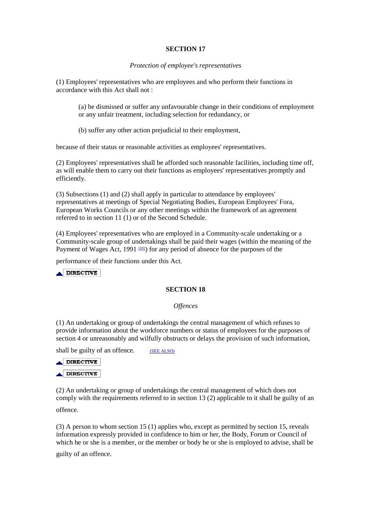### **SECTION 17**

#### *Protection of employee's representatives*

(1) Employees' representatives who are employees and who perform their functions in accordance with this Act shall not :

(a) be dismissed or suffer any unfavourable change in their conditions of employment or any unfair treatment, including selection for redundancy, or

(b) suffer any other action prejudicial to their employment,

because of their status or reasonable activities as employees' representatives.

(2) Employees' representatives shall be afforded such reasonable facilities, including time off, as will enable them to carry out their functions as employees' representatives promptly and efficiently.

(3) Subsections (1) and (2) shall apply in particular to attendance by employees' representatives at meetings of Special Negotiating Bodies, European Employees' Fora, European Works Councils or any other meetings within the framework of an agreement referred to in section 11 (1) or of the Second Schedule.

(4) Employees' representatives who are employed in a Community-scale undertaking or a Community-scale group of undertakings shall be paid their wages (within the meaning of the Payment of Wages Act, 1991  $(03)$ ) for any period of absence for the purposes of the

performance of their functions under this Act.

 $\triangle$  DIRECTIVE

### **SECTION 18**

#### *Offences*

(1) An undertaking or group of undertakings the central management of which refuses to provide information about the workforce numbers or status of employees for the purposes of section 4 or unreasonably and wilfully obstructs or delays the provision of such information,

shall be guilty of an offence. (SEE ALSO)



(2) An undertaking or group of undertakings the central management of which does not comply with the requirements referred to in section 13 (2) applicable to it shall be guilty of an

offence.

(3) A person to whom section 15 (1) applies who, except as permitted by section 15, reveals information expressly provided in confidence to him or her, the Body, Forum or Council of which he or she is a member, or the member or body he or she is employed to advise, shall be

guilty of an offence.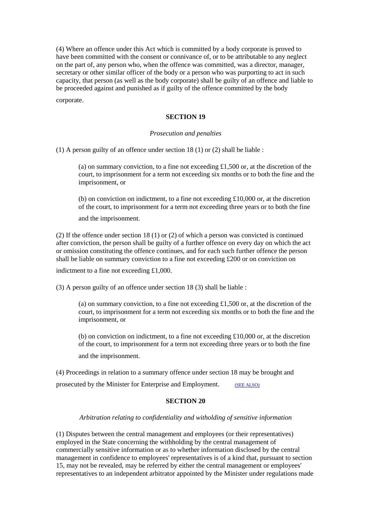(4) Where an offence under this Act which is committed by a body corporate is proved to have been committed with the consent or connivance of, or to be attributable to any neglect on the part of, any person who, when the offence was committed, was a director, manager, secretary or other similar officer of the body or a person who was purporting to act in such capacity, that person (as well as the body corporate) shall be guilty of an offence and liable to be proceeded against and punished as if guilty of the offence committed by the body

corporate.

### **SECTION 19**

### *Prosecution and penalties*

(1) A person guilty of an offence under section 18 (1) or (2) shall be liable :

(a) on summary conviction, to a fine not exceeding £1,500 or, at the discretion of the court, to imprisonment for a term not exceeding six months or to both the fine and the imprisonment, or

(b) on conviction on indictment, to a fine not exceeding £10,000 or, at the discretion of the court, to imprisonment for a term not exceeding three years or to both the fine

and the imprisonment.

(2) If the offence under section 18 (1) or (2) of which a person was convicted is continued after conviction, the person shall be guilty of a further offence on every day on which the act or omission constituting the offence continues, and for each such further offence the person shall be liable on summary conviction to a fine not exceeding  $£200$  or on conviction on

indictment to a fine not exceeding £1,000.

(3) A person guilty of an offence under section 18 (3) shall be liable :

(a) on summary conviction, to a fine not exceeding  $\pounds1,500$  or, at the discretion of the court, to imprisonment for a term not exceeding six months or to both the fine and the imprisonment, or

(b) on conviction on indictment, to a fine not exceeding £10,000 or, at the discretion of the court, to imprisonment for a term not exceeding three years or to both the fine and the imprisonment.

(4) Proceedings in relation to a summary offence under section 18 may be brought and prosecuted by the Minister for Enterprise and Employment. (SEE ALSO)

### **SECTION 20**

#### *Arbitration relating to confidentiality and witholding of sensitive information*

(1) Disputes between the central management and employees (or their representatives) employed in the State concerning the withholding by the central management of commercially sensitive information or as to whether information disclosed by the central management in confidence to employees' representatives is of a kind that, pursuant to section 15, may not be revealed, may be referred by either the central management or employees' representatives to an independent arbitrator appointed by the Minister under regulations made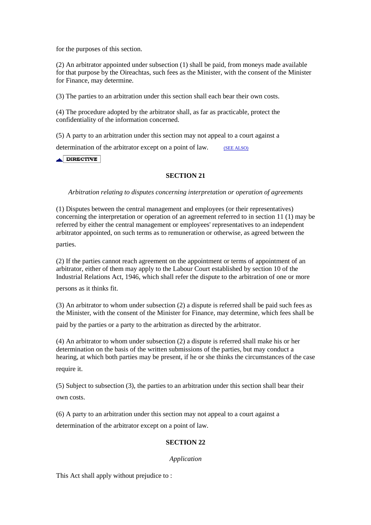for the purposes of this section.

(2) An arbitrator appointed under subsection (1) shall be paid, from moneys made available for that purpose by the Oireachtas, such fees as the Minister, with the consent of the Minister for Finance, may determine.

(3) The parties to an arbitration under this section shall each bear their own costs.

(4) The procedure adopted by the arbitrator shall, as far as practicable, protect the confidentiality of the information concerned.

(5) A party to an arbitration under this section may not appeal to a court against a

determination of the arbitrator except on a point of law. (SEE ALSO)

 $\triangle$  DIRECTIVE

## **SECTION 21**

*Arbitration relating to disputes concerning interpretation or operation of agreements* 

(1) Disputes between the central management and employees (or their representatives) concerning the interpretation or operation of an agreement referred to in section 11 (1) may be referred by either the central management or employees' representatives to an independent arbitrator appointed, on such terms as to remuneration or otherwise, as agreed between the

parties.

(2) If the parties cannot reach agreement on the appointment or terms of appointment of an arbitrator, either of them may apply to the Labour Court established by section 10 of the Industrial Relations Act, 1946, which shall refer the dispute to the arbitration of one or more

persons as it thinks fit.

(3) An arbitrator to whom under subsection (2) a dispute is referred shall be paid such fees as the Minister, with the consent of the Minister for Finance, may determine, which fees shall be

paid by the parties or a party to the arbitration as directed by the arbitrator.

(4) An arbitrator to whom under subsection (2) a dispute is referred shall make his or her determination on the basis of the written submissions of the parties, but may conduct a hearing, at which both parties may be present, if he or she thinks the circumstances of the case require it.

(5) Subject to subsection (3), the parties to an arbitration under this section shall bear their own costs.

(6) A party to an arbitration under this section may not appeal to a court against a

determination of the arbitrator except on a point of law.

## **SECTION 22**

### *Application*

This Act shall apply without prejudice to :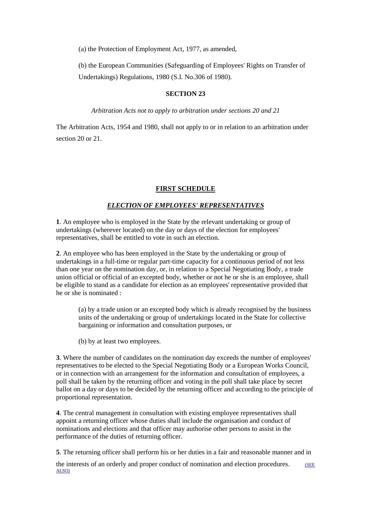(a) the Protection of Employment Act, 1977, as amended,

(b) the European Communities (Safeguarding of Employees' Rights on Transfer of Undertakings) Regulations, 1980 (S.I. No.306 of 1980).

### **SECTION 23**

*Arbitration Acts not to apply to arbitration under sections 20 and 21* 

The Arbitration Acts, 1954 and 1980, shall not apply to or in relation to an arbitration under section 20 or 21.

## **FIRST SCHEDULE**

## *ELECTION OF EMPLOYEES' REPRESENTATIVES*

**1**. An employee who is employed in the State by the relevant undertaking or group of undertakings (wherever located) on the day or days of the election for employees' representatives, shall be entitled to vote in such an election.

**2**. An employee who has been employed in the State by the undertaking or group of undertakings in a full-time or regular part-time capacity for a continuous period of not less than one year on the nomination day, or, in relation to a Special Negotiating Body, a trade union official or official of an excepted body, whether or not he or she is an employee, shall be eligible to stand as a candidate for election as an employees' representative provided that he or she is nominated :

(a) by a trade union or an excepted body which is already recognised by the business units of the undertaking or group of undertakings located in the State for collective bargaining or information and consultation purposes, or

(b) by at least two employees.

**3**. Where the number of candidates on the nomination day exceeds the number of employees' representatives to be elected to the Special Negotiating Body or a European Works Council, or in connection with an arrangement for the information and consultation of employees, a poll shall be taken by the returning officer and voting in the poll shall take place by secret ballot on a day or days to be decided by the returning officer and according to the principle of proportional representation.

**4**. The central management in consultation with existing employee representatives shall appoint a returning officer whose duties shall include the organisation and conduct of nominations and elections and that officer may authorise other persons to assist in the performance of the duties of returning officer.

**5**. The returning officer shall perform his or her duties in a fair and reasonable manner and in

the interests of an orderly and proper conduct of nomination and election procedures. (SEE ALSO)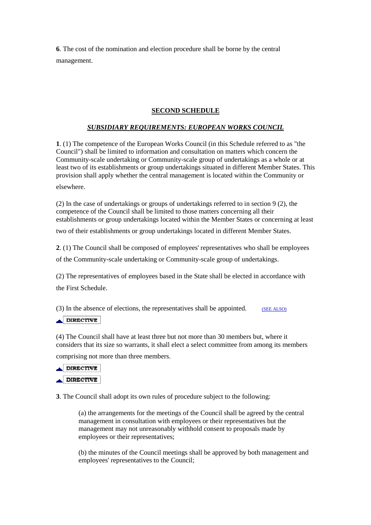**6**. The cost of the nomination and election procedure shall be borne by the central management.

## **SECOND SCHEDULE**

# *SUBSIDIARY REQUIREMENTS: EUROPEAN WORKS COUNCIL*

**1**. (1) The competence of the European Works Council (in this Schedule referred to as "the Council") shall be limited to information and consultation on matters which concern the Community-scale undertaking or Community-scale group of undertakings as a whole or at least two of its establishments or group undertakings situated in different Member States. This provision shall apply whether the central management is located within the Community or

elsewhere.

(2) In the case of undertakings or groups of undertakings referred to in section 9 (2), the competence of the Council shall be limited to those matters concerning all their establishments or group undertakings located within the Member States or concerning at least

two of their establishments or group undertakings located in different Member States.

**2**. (1) The Council shall be composed of employees' representatives who shall be employees

of the Community-scale undertaking or Community-scale group of undertakings.

(2) The representatives of employees based in the State shall be elected in accordance with the First Schedule.

(3) In the absence of elections, the representatives shall be appointed.  $(SEE ALSO)$ 

## $\triangle$ DIRECTIVE

(4) The Council shall have at least three but not more than 30 members but, where it considers that its size so warrants, it shall elect a select committee from among its members

comprising not more than three members.



**3**. The Council shall adopt its own rules of procedure subject to the following:

(a) the arrangements for the meetings of the Council shall be agreed by the central management in consultation with employees or their representatives but the management may not unreasonably withhold consent to proposals made by employees or their representatives;

(b) the minutes of the Council meetings shall be approved by both management and employees' representatives to the Council;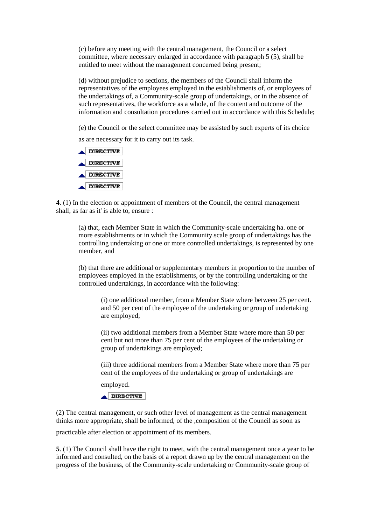(c) before any meeting with the central management, the Council or a select committee, where necessary enlarged in accordance with paragraph 5 (5), shall be entitled to meet without the management concerned being present;

(d) without prejudice to sections, the members of the Council shall inform the representatives of the employees employed in the establishments of, or employees of the undertakings of, a Community-scale group of undertakings, or in the absence of such representatives, the workforce as a whole, of the content and outcome of the information and consultation procedures carried out in accordance with this Schedule;

(e) the Council or the select committee may be assisted by such experts of its choice

as are necessary for it to carry out its task.



**4**. (1) In the election or appointment of members of the Council, the central management shall, as far as it' is able to, ensure :

(a) that, each Member State in which the Community-scale undertaking ha. one or more establishments or in which the Community.scale group of undertakings has the controlling undertaking or one or more controlled undertakings, is represented by one member, and

(b) that there are additional or supplementary members in proportion to the number of employees employed in the establishments, or by the controlling undertaking or the controlled undertakings, in accordance with the following:

(i) one additional member, from a Member State where between 25 per cent. and 50 per cent of the employee of the undertaking or group of undertaking are employed;

(ii) two additional members from a Member State where more than 50 per cent but not more than 75 per cent of the employees of the undertaking or group of undertakings are employed;

(iii) three additional members from a Member State where more than 75 per cent of the employees of the undertaking or group of undertakings are

employed.

 $\triangle$ DIRECTIVE

(2) The central management, or such other level of management as the central management thinks more appropriate, shall be informed, of the ,composition of the Council as soon as

practicable after election or appointment of its members.

**5**. (1) The Council shall have the right to meet, with the central management once a year to be informed and consulted, on the basis of a report drawn up by the central management on the progress of the business, of the Community-scale undertaking or Community-scale group of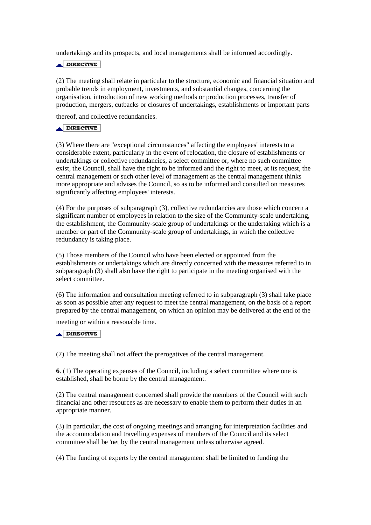undertakings and its prospects, and local managements shall be informed accordingly.

 $\triangle$ DIRECTIVE

(2) The meeting shall relate in particular to the structure, economic and financial situation and probable trends in employment, investments, and substantial changes, concerning the organisation, introduction of new working methods or production processes, transfer of production, mergers, cutbacks or closures of undertakings, establishments or important parts

thereof, and collective redundancies.

## $\triangle$  DIRECTIVE

(3) Where there are "exceptional circumstances" affecting the employees' interests to a considerable extent, particularly in the event of relocation, the closure of establishments or undertakings or collective redundancies, a select committee or, where no such committee exist, the Council, shall have the right to be informed and the right to meet, at its request, the central management or such other level of management as the central management thinks more appropriate and advises the Council, so as to be informed and consulted on measures significantly affecting employees' interests.

(4) For the purposes of subparagraph (3), collective redundancies are those which concern a significant number of employees in relation to the size of the Community-scale undertaking, the establishment, the Community-scale group of undertakings or the undertaking which is a member or part of the Community-scale group of undertakings, in which the collective redundancy is taking place.

(5) Those members of the Council who have been elected or appointed from the establishments or undertakings which are directly concerned with the measures referred to in subparagraph (3) shall also have the right to participate in the meeting organised with the select committee.

(6) The information and consultation meeting referred to in subparagraph (3) shall take place as soon as possible after any request to meet the central management, on the basis of a report prepared by the central management, on which an opinion may be delivered at the end of the

meeting or within a reasonable time.

### DIRECTIVE

(7) The meeting shall not affect the prerogatives of the central management.

**6**. (1) The operating expenses of the Council, including a select committee where one is established, shall be borne by the central management.

(2) The central management concerned shall provide the members of the Council with such financial and other resources as are necessary to enable them to perform their duties in an appropriate manner.

(3) In particular, the cost of ongoing meetings and arranging for interpretation facilities and the accommodation and travelling expenses of members of the Council and its select committee shall be 'net by the central management unless otherwise agreed.

(4) The funding of experts by the central management shall be limited to funding the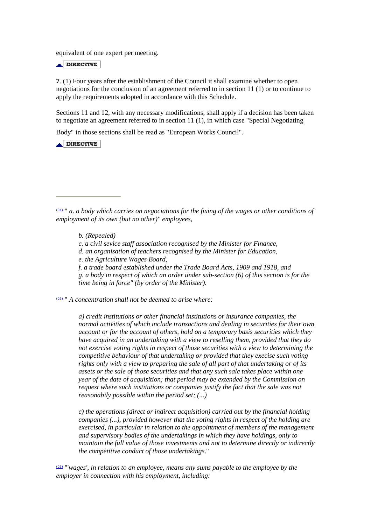equivalent of one expert per meeting.

 $\triangle$ DIRECTIVE

**7**. (1) Four years after the establishment of the Council it shall examine whether to open negotiations for the conclusion of an agreement referred to in section 11 (1) or to continue to apply the requirements adopted in accordance with this Schedule.

Sections 11 and 12, with any necessary modifications, shall apply if a decision has been taken to negotiate an agreement referred to in section 11 (1), in which case "Special Negotiating

Body" in those sections shall be read as "European Works Council".

 $\triangle$  DIRECTIVE

*b. (Repealed)* 

- *c. a civil sevice staff association recognised by the Minister for Finance,*
- *d. an organisation of teachers recognised by the Minister for Education,*
- *e. the Agriculture Wages Board,*
- *f. a trade board established under the Trade Board Acts, 1909 and 1918, and g. a body in respect of which an order under sub-section (6) of this section is for the time being in force" (by order of the Minister).*

(02) " *A concentration shall not be deemed to arise where:* 

*a) credit institutions or other financial institutions or insurance companies, the normal activities of which include transactions and dealing in securities for their own account or for the account of others, hold on a temporary basis securities which they have acquired in an undertaking with a view to reselling them, provided that they do not exercise voting rights in respect of those securities with a view to determining the competitive behaviour of that undertaking or provided that they execise such voting rights only with a view to preparing the sale of all part of that undertaking or of its assets or the sale of those securities and that any such sale takes place within one year of the date of acquisition; that period may be extended by the Commission on request where such institutions or companies justify the fact that the sale was not reasonabily possible within the period set; (...)* 

*c) the operations (direct or indirect acquisition) carried out by the financial holding companies (...), provided however that the voting rights in respect of the holding are exercised, in particular in relation to the appointment of members of the management and supervisory bodies of the undertakings in which they have holdings, only to maintain the full value of those investments and not to determine directly or indirectly the competitive conduct of those undertakings*."

(03) "'*wages', in relation to an employee, means any sums payable to the employee by the employer in connection with his employment, including:* 

<sup>(01)</sup> " *a. a body which carries on negociations for the fixing of the wages or other conditions of employment of its own (but no other)" employees,*